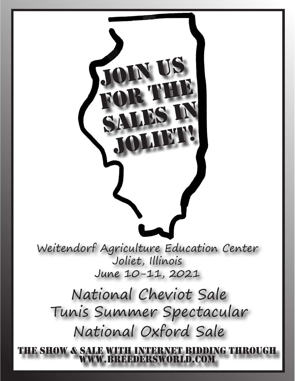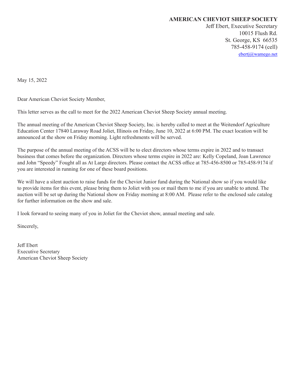#### **AMERICAN CHEVIOT SHEEP SOCIETY**

Jeff Ebert, Executive Secretary 10015 Flush Rd. St. George, KS 66535 785-458-9174 (cell) ebertj@wamego.net

May 15, 2022

Dear American Cheviot Society Member,

This letter serves as the call to meet for the 2022 American Cheviot Sheep Society annual meeting.

The annual meeting of the American Cheviot Sheep Society, Inc. is hereby called to meet at the Weitendorf Agriculture Education Center 17840 Laraway Road Joliet, Illinois on Friday, June 10, 2022 at 6:00 PM. The exact location will be announced at the show on Friday morning. Light refreshments will be served.

The purpose of the annual meeting of the ACSS will be to elect directors whose terms expire in 2022 and to transact business that comes before the organization. Directors whose terms expire in 2022 are: Kelly Copeland, Joan Lawrence and John "Speedy" Fought all as At Large directors. Please contact the ACSS office at 785-456-8500 or 785-458-9174 if you are interested in running for one of these board positions.

We will have a silent auction to raise funds for the Cheviot Junior fund during the National show so if you would like to provide items for this event, please bring them to Joliet with you or mail them to me if you are unable to attend. The auction will be set up during the National show on Friday morning at 8:00 AM. Please refer to the enclosed sale catalog for further information on the show and sale.

I look forward to seeing many of you in Joliet for the Cheviot show, annual meeting and sale.

Sincerely,

Jeff Ebert Executive Secretary American Cheviot Sheep Society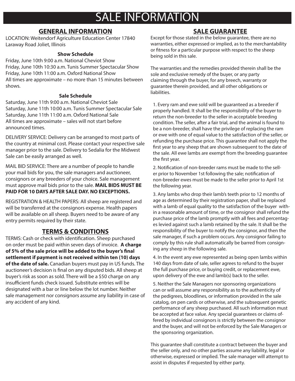# SALE INFORMATION

# **GENERAL INFORMATION**

LOCATION: Weitendorf Agriculture Education Center 17840 Laraway Road Joliet, Illinois

## **Show Schedule**

Friday, June 10th 9:00 a.m. National Cheviot Show Friday, June 10th 10:30 a.m. Tunis Summer Spectacular Show Friday, June 10th 11:00 a.m. Oxford National Show All times are approximate – no more than 15 minutes between shows.

### **Sale Schedule**

Saturday, June 11th 9:00 a.m. National Cheviot Sale Saturday, June 11th 10:00 a.m. Tunis Summer Spectacular Sale Saturday, June 11th 11:00 a.m. Oxford National Sale All times are approximate – sales will not start before announced times.

DELIVERY SERVICE: Delivery can be arranged to most parts of the country at minimal cost. Please contact your respective sale manager prior to the sale. Delivery to Sedalia for the Midwest Sale can be easily arranged as well.

MAIL BID SERVICE: There are a number of people to handle your mail bids for you, the sale managers and auctioneer, consignors or any breeders of your choice. Sale management must approve mail bids prior to the sale. **MAIL BIDS MUST BE PAID FOR 10 DAYS AFTER SALE DAY. NO EXCEPTIONS.** 

REGISTRATION & HEALTH PAPERS: All sheep are registered and will be transferred at the consignors expense. Health papers will be available on all sheep. Buyers need to be aware of any entry permits required by their state.

# **TERMS & CONDITIONS**

TERMS: Cash or check with identification. Sheep purchased on order must be paid within seven days of invoice. **A charge of 5% of the sale price will be added to the buyer's final settlement if payment is not received within ten (10) days of the date of sale.** Canadian buyers must pay in US funds. The auctioneer's decision is final on any disputed bids. All sheep at buyer's risk as soon as sold. There will be a \$50 charge on any insufficient funds check issued. Substitute entries will be designated with a bar or line below the lot number. Neither sale management nor consignors assume any liability in case of any accident of any kind.

# **SALE GUARANTEE**

Except for those stated in the below guarantee, there are no warranties, either expressed or implied, as to the merchantability or fitness for a particular purpose with respect to the sheep being sold in this sale.

The warranties and the remedies provided therein shall be the sole and exclusive remedy of the buyer, or any party claiming through the buyer, for any breech, warranty or guarantee therein provided, and all other obligations or liabilities.

1. Every ram and ewe sold will be guaranteed as a breeder if properly handled. It shall be the responsibility of the buyer to return the non-breeder to the seller in acceptable breeding condition. The seller, after a fair trial, and the animal is found to be a non-breeder, shall have the privilege of replacing the ram or ewe with one of equal value to the satisfaction of the seller, or refunding the purchase price. This guarantee shall not apply the first year to any sheep that are shown subsequent to the date of the sale. All ewe lambs are exempt from the breeding guarantee the first year.

2. Notification of non-breeder rams must be made to the seller prior to November 1st following the sale; notification of non-breeder ewes must be made to the seller prior to April 1st the following year.

3. Any lambs who drop their lamb's teeth prior to 12 months of age as determined by their registration paper, shall be replaced with a lamb of equal quality to the satisfaction of the buyer within a reasonable amount of time, or the consignor shall refund the purchase price of the lamb promptly with all fees and percentages levied against such a lamb retained by the sale. It shall be the responsibility of the buyer to notify the consignor, and then the sale manager, if such a problem occurs. Any consignor failing to comply by this rule shall automatically be barred from consigning any sheep in the following sale.

4. In the event any ewe represented as being open lambs within 140 days from date of sale, seller agrees to refund to the buyer the full purchase price, or buying credit, or replacement ewe, upon delivery of the ewe and lamb(s) back to the seller.

5. Neither the Sale Managers nor sponsoring organizations can or will assume any responsibility as to the authenticity of the pedigrees, bloodlines, or information provided in the sale catalog, on pen cards or otherwise, and the subsequent genetic performance of any sheep purchased. All such information must be accepted at face value. Any special guarantees or claims offered by individual consignors is strictly between the consignor and the buyer, and will not be enforced by the Sale Managers or the sponsoring organization.

This guarantee shall constitute a contract between the buyer and the seller only, and no other parties assume any liability, legal or otherwise, expressed or implied. The sale manager will attempt to assist in disputes if requested by either party.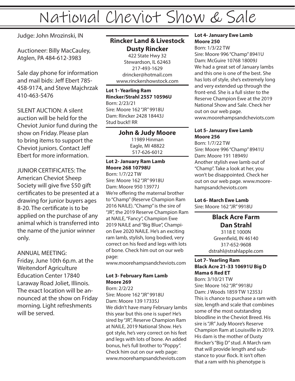# National Cheviot Show & Sale

Judge: John Mrozinski, IN

Auctioneer: Billy MacCauley, Atglen, PA 484-612-3983

Sale day phone for information and mail bids: Jeff Ebert 785- 458-9174, and Steve Majchrzak 410-463-5476

SILENT AUCTION: A silent auction will be held for the Cheviot Junior fund during the show on Friday. Please plan to bring items to support the Cheviot juniors. Contact Jeff Ebert for more information.

JUNIOR CERTIFICATES: The American Cheviot Sheep Society will give five \$50 gift certificates to be presented at a drawing for junior buyers ages 8-20. The certificate is to be applied on the purchase of any animal which is transferred into the name of the junior winner only.

ANNUAL MEETING: Friday, June 10th 6p.m. at the Weitendorf Agriculture Education Center 17840 Laraway Road Joliet, Illinois. The exact location will be announced at the show on Friday morning. Light refreshments will be served.

# **Rincker Land & Livestock Dusty Rincker**

422 State Hwy 32 Stewardson, IL 62463 217-493-1629 drincker@hotmail.com www.rinckershowstock.com

**Lot 1- Yearling Ram Rincker/Strahl 2557 10596U** Born: 2/23/21 Sire: Moore 162 "JR" 9918U Dam: Rincker 2428 18443J Stud buck!! RR

> **John & Judy Moore** 11989 Hinman Eagle, MI 48822 517-626-6012

# **Lot 2- January Ram Lamb Moore 268 10798U**

Born: 1/7/22 TW Sire: Moore 162 "JR" 9918U Dam: Moore 950 13977J We're offering the maternal brother to "Champ" (Reserve Champion Ram 2016 NAILE). "Champ" is the sire of "JR", the 2019 Reserve Champion Ram at NAILE, "Fancy", Champion Ewe 2019 NAILE and "Big Blue", Champion Ewe 2020 NAILE. He's an exciting ram lamb, stylish, long bodied, very correct on his feed and legs with lots of bone. Check him out on our web page:

www.moorehampsandcheviots.com

## **Lot 3- February Ram Lamb Moore 269**

Born: 2/2/22 Sire: Moore 162 "JR" 9918U Dam: Moore 139 17335J We didn't have many February lambs this year but this one is super! He's sired by "JR", Reserve Champion Ram at NAILE, 2019 National Show. He's got style, he's very correct on his feet and legs with lots of bone. An added bonus, he's full brother to "Poppy". Check him out on our web page: www.moorehampsandcheviots.com

### **Lot 4- January Ewe Lamb Moore 250**

Born: 1/3/22 TW Sire: Moore 996 "Champ" 8941U Dam: McGuire 10768 18009J We had a great set of January lambs and this one is one of the best. She has lots of style, she's extremely long and very extended up through the front-end. She is a full sister to the Reserve Champion Ewe at the 2019 National Show and Sale. Check her out on our web page. www.moorehampsandcheviots.com

## **Lot 5- January Ewe Lamb Moore 256**

Born: 1/7/22 TW Sire: Moore 996 "Champ" 8941U Dam: Moore 191 18949J Another stylish ewe lamb out of "Champ". Take a look at her, you won't be disappointed. Check her out on our web page. www.moorehampsandcheviots.com

# **Lot 6- March Ewe Lamb**

Sire: Moore 162 "JR" 9918U

**Black Acre Farm Dan Strahl** 3118 E 1000N Greenfield, IN 46140 317-652-9608 dstrahl@strahlapple.com

#### **Lot 7- Yearling Ram Black Acre 21-33 10691U Big D Mama 6 Red ET**

Born: 3/10/21 TW Sire: Moore 162 "JR" 9918U Dam: J Woods 1859 TW 12353J This is chance to purchase a ram with size, length and scale that combines some of the most outstanding bloodline in the Cheviot Breed. His sire is "JR" Judy Moore's Reserve Champion Ram at Louisville in 2019. His dam is the mother of Dusty Rincker's "Big D" stud. A March ram that will provide length and substance to your flock. lt isn't often that a ram with his phenotype is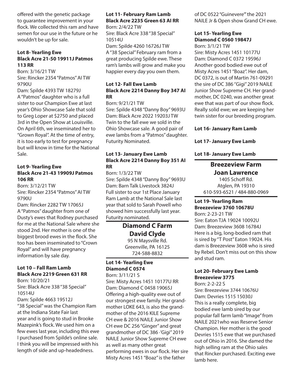offered with the genetic package to guarantee improvement in your flock. We collected this ram and have semen for our use in the future or he wouldn't be up for sale.

#### **Lot 8- Yearling Ewe Black Acre 21-50 19911J Patmos 113 RR**

Born: 3/16/21 TW Sire: Rincker 2354 "Patmos" AI TW 9790U

Dam: Spilde 4393 TW 18279J A "Patmos" daughter who is a full sister to our Champion Ewe at last year's Ohio Showcase Sale that sold to Greg Loper at \$2750 and placed 3rd in the Open Show at Louisville. On April 6th, we inseminated her to "Grown Royal". At the time of entry, it is too early to test for pregnancy but will know in time for the National Sale.

#### **Lot 9- Yearling Ewe Black Acre 21-43 19909J Patmos 106 RR**

Born: 3/12/21 TW Sire: Rincker 2354 "Patmos" AI TW 9790U

Dam: Rincker 2282 TW 17065J A "Patmos" daughter from one of Dusty's ewes that Rodney purchased for me at the National Sale where she stood 2nd. Her mother is one of the biggest brood ewes in the flock. She too has been inseminated to "Crown Royal" and will have pregnancy information by sale day.

## **Lot 10 – Fall Ram Lamb Black Acre 2219 Green 631 RR**

Born: 10/20/21 Sire: Black Acre 338 "38 Special" 10514U

Dam: Spilde 4663 19512J

"38 Special" was the Champion Ram at the Indiana State Fair last year and is going to stud in Brooke Mazepink's flock. We used him on a few ewes last year, including this ewe I purchased from Spilde's online sale. I think you will be impressed with his length of side and up-headedness.

#### **Lot 11- February Ram Lamb Black Acre 2235 Green 63 AI RR** Born: 2/4/22 TW

Sire: Black Acre 338 "38 Special" 10514U

Dam: Spilde 4260 16726J TW A "38 Special" February ram from a great producing Spilde ewe. These ram's lambs will grow and make you happier every day you own them.

#### **Lot 12- Fall Ewe Lamb Black Acre 2214 Danny Boy 347 AI RR**

Born: 9/21/21 TW Sire: Spilde 4348 "Danny Boy" 9693U Dam: Black Acre 2022 19203J TW Twin to the fall ewe we sold in the Ohio Showcase sale. A good pair of ewe lambs from a "Patmos" daughter. Futurity Nominated.

#### **Lot 13- January Ewe Lamb Black Acre 2214 Danny Boy 351 AI RR**

Born: 1/3/22 TW Sire: Spilde 4348 "Danny Boy" 9693U Dam: Barn Talk Livestock 3824J Full sister to our 1st Place January Ram Lamb at the National Sale last year that sold to Sarah Powell who showed him successfully last year. Futurity nominated.

# **Diamond C Farm David Clyde**

95 N Maysville Rd. Greenville, PA 16125 724-588-8832

## **Lot 14- Yearling Ewe Diamond C 0574**

Born: 3/11/21 S Sire: Misty Acres 1451 10177U RR Dam: Diamond C 0458 19065J Offering a high-quality ewe out of our strongest ewe family. Her grandmother LOKE 643, is also the grandmother of the 2016 KILE Supreme CH ewe & 2016 NAILE Junior Show CH ewe DC 256 "Ginger" and great grandmother of DC 386 ·'Gigi'' 2019 NAILE Junior Show Supreme CH ewe as well as many other great performing ewes in our flock. Her sire Misty Acres 1451 "Boaz" is the father

of DC 0522 "Guinevere"' the 2021 NAILE Jr & Open show Grand CH ewe.

# **Lot 15- Yearling Ewe Diamond C 0560 19847J**

Born: 3/1/21 TW Sire: Misty Acres 1451 10177U Dam: Diamond C 0372 19596J Another good bodied ewe out of Misty Acres 1451 "Boaz". Her dam, DC 0372, is out of Martin 761-09291 the sire of DC 386 ''Gigi'' 2019 NAlLE Junior Show Supreme CH. Her grandmother, DC 0240, was another great ewe that was part of our show flock. Really solid ewe; we are keeping her twin sister for our breeding program.

### **Lot 16- January Ram Lamb**

### **Lot 17- January Ewe Lamb**

### **Lot 18- January Ewe Lamb**

## **Breezeview Farm Joan Lawrence**

1405 Schoff Rd. Atglen, PA 19310 610-593-6521 / 484-880-0969

# **Lot 19- Yearling Ram Breezeview 3760 10678U**

Born: 2-23-21 TW Sire: Eaton TJA 19024 10092U Dam: Breezeview 3608 16784J Here is a big, long-bodied ram that is sired by "T Post" Eaton 19024. His dam is Breezeview 3608 who is sired by Rebel. Don't miss out on this show and stud ram.

### **Lot 20- February Ewe Lamb Breezeview 3775**

Born: 2-2-22 S

Sire: Breezeview 3744 10676U Dam: Devries 1515 15030J This is a really complete, big bodied ewe lamb sired by our popular fall farm lamb "Image" from NAILE 2021who was Reserve Senior Champion. Her mother is the good Devries 1515 ewe that we purchased out of Ohio in 2016. She damed the high selling ram at the Ohio sales that Rincker purchased. Exciting ewe lamb here.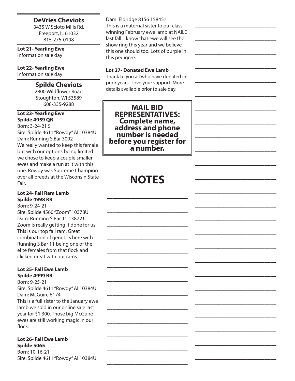# **DeVries Cheviots**

3435 W Scioto Mills Rd. Freeport, IL 61032 815-275-0198

**Lot 21- Yearling Ewe** Information sale day

**Lot 22- Yearling Ewe** 

Information sale day

# **Spilde Cheviots**

2800 Wildflower Road Stoughton, WI 53589 608-335-9288

#### **Lot 23- Yearling Ewe Spilde 4959 QR**

Born: 3-24-21 S

Sire: Spilde 4611 "Rowdy" AI 10384U Dam: Running S Bar 3002 We really wanted to keep this female but with our options being limited we chose to keep a couple smaller ewes and make a run at it with this one. Rowdy was Supreme Champion over all breeds at the Wisconsin State Fair.

### **Lot 24- Fall Ram Lamb Spilde 4998 RR**

Born: 9-24-21

Sire: Spilde 4560 "Zoom" 10378U Dam: Running S Bar 11 13872J Zoom is really getting it done for us! This is our top fall ram. Great combination of genetics here with Running S Bar 11 being one of the elite females from that flock and clicked great with our rams.

#### **Lot 25- Fall Ewe Lamb Spilde 4999 RR**

Born: 9-25-21 Sire: Spilde 4611 "Rowdy" AI 10384U Dam: McGuire 6174 This is a full sister to the January ewe lamb we sold in our online sale last year for \$1,300. Those big McGuire ewes are still working magic in our flock.

### **Lot 26- Fall Ewe Lamb Spilde 5065**

Born: 10-16-21 Sire: Spilde 4611 "Rowdy" AI 10384U Dam: Eldridge 8156 15845J This is a maternal sister to our class winning February ewe lamb at NAILE last fall. I know that ewe will see the show ring this year and we believe this one should too. Lots of purple in this pedigree.

 $\frac{1}{2}$ 

 $\frac{1}{2}$ 

 $\overline{\phantom{a}}$  , where  $\overline{\phantom{a}}$ 

 $\overline{\phantom{a}}$  , where  $\overline{\phantom{a}}$ 

 $\overline{\phantom{a}}$  , where  $\overline{\phantom{a}}$ 

 $\frac{1}{2}$ 

 $\frac{1}{2}$ 

 $\overline{\phantom{a}}$  , where  $\overline{\phantom{a}}$ 

 $\overline{\phantom{a}}$  , where  $\overline{\phantom{a}}$ 

 $\overline{\phantom{a}}$  , where  $\overline{\phantom{a}}$ 

 $\frac{1}{2}$ 

 $\frac{1}{2}$ 

 $\overline{\phantom{a}}$  , where  $\overline{\phantom{a}}$ 

 $\overline{\phantom{a}}$  , where  $\overline{\phantom{a}}$ 

 $\overline{\phantom{a}}$  , where  $\overline{\phantom{a}}$ 

 $\frac{1}{2}$ 

 $\frac{1}{2}$ 

 $\overline{\phantom{a}}$  , where  $\overline{\phantom{a}}$ 

 $\overline{\phantom{a}}$  , where  $\overline{\phantom{a}}$ 

 $\overline{\phantom{a}}$  , where  $\overline{\phantom{a}}$ 

 $\frac{1}{2}$ 

 $\frac{1}{2}$ 

 $\overline{\phantom{a}}$  , where  $\overline{\phantom{a}}$ 

 $\overline{\phantom{a}}$  , where  $\overline{\phantom{a}}$ 

 $\overline{\phantom{a}}$  , where  $\overline{\phantom{a}}$ 

# **Lot 27- Donated Ewe Lamb**

Thank to you all who have donated in prior years - love your support! More details available prior to sale day.

**MAIL BID REPRESENTATIVES: Complete name, address and phone number is needed before you register for a number.**

# **NOTES**

 $\overline{\phantom{a}}$  , where  $\overline{\phantom{a}}$ 

 $\mathcal{L}$ 

 $\mathcal{L}$ 

 $\overline{\phantom{a}}$  , where  $\overline{\phantom{a}}$ 

 $\overline{\phantom{a}}$  , where  $\overline{\phantom{a}}$ 

 $\overline{\phantom{a}}$  , where  $\overline{\phantom{a}}$ 

 $\mathcal{L}$ 

 $\mathcal{L}$ 

 $\overline{\phantom{a}}$  , where  $\overline{\phantom{a}}$ 

 $\overline{\phantom{a}}$  , where  $\overline{\phantom{a}}$ 

 $\overline{\phantom{a}}$  , where  $\overline{\phantom{a}}$ 

 $\mathcal{L}$ 

 $\mathcal{L}$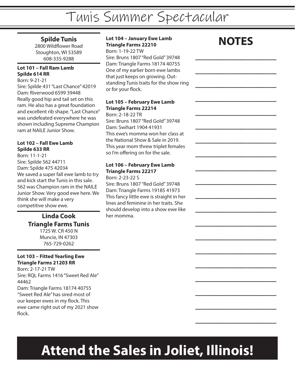# Tunis Summer Spectacular

# **Spilde Tunis**

2800 Wildflower Road Stoughton, WI 53589 608-335-9288

#### **Lot 101 – Fall Ram Lamb Spilde 614 RR**

Born: 9-21-21

Sire: Spilde 431 "Last Chance" 42019 Dam: Riverwood 6599 39448 Really good hip and tail set on this ram. He also has a great foundation and excellent rib shape. "Last Chance" was undefeated everywhere he was shown including Supreme Champion ram at NAILE Junior Show.

#### **Lot 102 – Fall Ewe Lamb Spilde 633 RR**

Born: 11-1-21 Sire: Spilde 562 44711 Dam: Spilde 475 42034 We saved a super fall ewe lamb to try and kick start the Tunis in this sale. 562 was Champion ram in the NAILE Junior Show. Very good ewe here. We think she will make a very competitive show ewe.

# **Linda Cook Triangle Farms Tunis** 1725 W. CR 450 N

Muncie, IN 47303 765-729-0262

## **Lot 103 – Fitted Yearling Ewe Triangle Farms 21203 RR**

Born: 2-17-21 TW Sire: RQL Farms 1416 "Sweet Red Ale" 44462 Dam: Triangle Farms 18174 40755 "Sweet Red Ale" has sired most of our keeper ewes in my flock. This ewe came right out of my 2021 show flock.

**Lot 104 – January Ewe Lamb Triangle Farms 22210** Born: 1-19-22 TW Sire: Bruns 1807 "Red Gold" 39748 Dam: Triangle Farms 18174 40755 One of my earlier born ewe lambs that just keeps on growing. Outstanding Tunis traits for the show ring or for your flock.

## **Lot 105 – February Ewe Lamb Triangle Farms 22214**

Born: 2-18-22 TR Sire: Bruns 1807 "Red Gold" 39748 Dam: Swihart 1904 41931 This ewe's momma won her class at the National Show & Sale in 2019. This year mom threw triplet females so I'm offering on for the sale.

# **Lot 106 – February Ewe Lamb Triangle Farms 22217**

Born: 2-23-22 S Sire: Bruns 1807 "Red Gold" 39748 Dam: Triangle Farms 19185 41973 This fancy little ewe is straight in her lines and feminine in her traits. She should develop into a show ewe like her momma.

# **NOTES**

 $\overline{\phantom{a}}$  , where  $\overline{\phantom{a}}$ 

 $\overline{\phantom{a}}$  , where  $\overline{\phantom{a}}$ 

 $\frac{1}{2}$ 

 $\frac{1}{2}$ 

 $\overline{\phantom{a}}$  , where  $\overline{\phantom{a}}$ 

 $\overline{\phantom{a}}$  , where  $\overline{\phantom{a}}$ 

 $\overline{\phantom{a}}$  , where  $\overline{\phantom{a}}$ 

 $\frac{1}{2}$ 

 $\frac{1}{2}$ 

 $\overline{\phantom{a}}$  , where  $\overline{\phantom{a}}$ 

 $\overline{\phantom{a}}$  , where  $\overline{\phantom{a}}$ 

 $\overline{\phantom{a}}$  , where  $\overline{\phantom{a}}$ 

 $\frac{1}{2}$ 

 $\frac{1}{2}$ 

 $\overline{\phantom{a}}$  , where  $\overline{\phantom{a}}$ 

 $\overline{\phantom{a}}$  , where  $\overline{\phantom{a}}$ 

 $\overline{\phantom{a}}$  , where  $\overline{\phantom{a}}$ 

 $\frac{1}{2}$ 

 $\frac{1}{2}$ 

 $\overline{\phantom{a}}$  , where  $\overline{\phantom{a}}$ 

# **Attend the Sales in Joliet, Illinois!**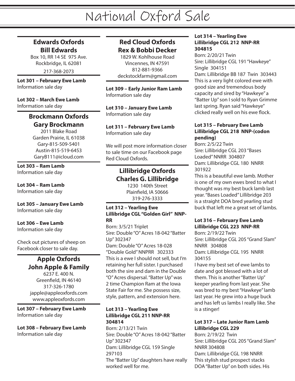# **Edwards Oxfords Bill Edwards**

Box 10, RR 14 SE 975 Ave. Rockbridge, IL 62081

217-368-2073

**Lot 301 – February Ewe Lamb** Information sale day

**Lot 302 – March Ewe Lamb** Information sale day

# **Brockmann Oxfords Gary Brockmann**

2011 Blake Road Garden Prairie, IL 61038 Gary-815-509-5401 Austin-815-519-6453 GaryB111@icloud.com

**Lot 303 – Ram Lamb** Information sale day

**Lot 304 – Ram Lamb** Information sale day

**Lot 305 – January Ewe Lamb** Information sale day

# **Lot 306 – Ewe Lamb**

Information sale day

Check out pictures of sheep on Facebook closer to sale day.

# **Apple Oxfords John Apple & Family**

6237 E. 400 N. Greenfield, IN 46140 317-326-1780 japple@appleoxfords.com www.appleoxfords.com

**Lot 307 – February Ewe Lamb** Information sale day

**Lot 308 – February Ewe Lamb** Information sale day

# **Red Cloud Oxfords Rex & Bobbi Decker**

1829 W. Kohlhouse Road Vincennes, IN 47591 812-881-9366 deckstockfarm@gmail.com

**Lot 309 – Early Junior Ram Lamb** Information sale day

**Lot 310 – January Ewe Lamb** Information sale day

**Lot 311 – February Ewe Lamb** Information sale day

We will post more information closer to sale time on our Facebook page Red Cloud Oxfords.

# **Lillibridge Oxfords Charles G. Lillibridge**

1230 140th Street Plainfield, IA 50666 319-276-3333

#### **Lot 312 – Yearling Ewe Lillibridge CGL "Golden Girl" NNP-RR**

Born: 3/5/21 Triplet Sire: Double "O" Acres 18-042 "Batter Up" 302347 Dam: Double "O" Acres 18-028 "Double Gold" NNPRR 302333 This is a ewe I should not sell, but I'm retaining her full sister. I purchased both the sire and dam in the Double "O" Acres dispersal. "Batter Up" was 2 time Champion Ram at the Iowa State Fair for me. She possess size, style, pattern, and extension here.

## **Lot 313 – Yearling Ewe Lillibridge CGL 211 NNP-RR 304814**

Born: 2/13/21 Twin Sire: Double "O" Acres 18-042 "Batter Up" 302347 Dam: Lillibridge CGL 159 Single 297103 The "Batter Up" daughters have really worked well for me.

#### **Lot 314 – Yearling Ewe Lillibridge CGL 212 NNP-RR 304815**

Born: 2/20/21 Twin Sire: Lillibridge CGL 191 "Hawkeye" Single 304151 Dam: Lillibridge BB 187 Twin 303443 This is a very light colored ewe with good size and tremendous body capacity and sired by "Hawkeye" a "Batter Up" son I sold to Ryan Grimme last spring. Ryan said "Hawkeye" clicked really well on his ewe flock.

#### **Lot 315 – February Ewe Lamb Lillibridge CGL 218 NNP-(codon pending)**

Born: 2/5/22 Twin Sire: Lillibridge CGL 203 "Bases Loaded" NNRR 304807 Dam: Lillibridge CGL 180 NNRR 301922

This is a beautiful ewe lamb. Mother is one of my own ewes bred to what I thought was my best buck lamb last year. "Bases Loaded" Lillibridge 203 is a straight DOA bred yearling stud buck that left me a great set of lambs.

## **Lot 316 – February Ewe Lamb Lillibridge CGL 223 NNP-RR**

Born: 2/19/22 Twin Sire: Lillibridge CGL 205 "Grand Slam" NNRR 304808 Dam: Lillibridge CGL 195 NNRR 304155

I have my best set of ewe lambs to date and got blessed with a lot of them. This is another "Batter Up" keeper yearling from last year. She was bred to my best "Hawkeye" lamb last year. He grew into a huge buck and has left us lambs I really like. She is a stinger!

## **Lot 317 – Late Junior Ram Lamb Lillibridge CGL 229**

Born: 2/19/22 Twin Sire: Lillibridge CGL 205 "Grand Slam" NNRR 304808 Dam: Lillibridge CGL 198 NNRR This stylish stud prospect stacks DOA "Batter Up" on both sides. His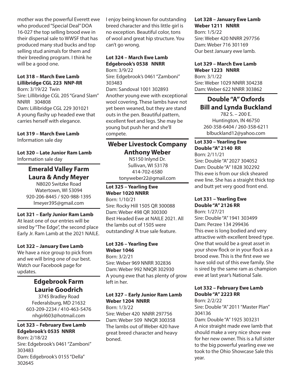mother was the powerful Everett ewe who produced "Special Deal" DOA 16-027 the top selling brood ewe in their dispersal sale to WWSF that has produced many stud bucks and top selling stud animals for them and their breeding program. I think he will be a good one.

#### **Lot 318 – March Ewe Lamb Lillibridge CGL 223 NNP-RR**

Born: 3/19/22 Twin Sire: Lillibridge CGL 205 "Grand Slam" NNRR 304808 Dam: Lillibridge CGL 229 301021 A young flashy up headed ewe that carries herself with elegance.

#### **Lot 319 – March Ewe Lamb**

Information sale day

#### **Lot 320 – Late Junior Ram Lamb** Information sale day

# **Emerald Valley Farm Laura & Andy Meyer**

N8020 Switzke Road Watertown, WI 53094 920-206-8445 / 920-988-1395 lmeyer395@gmail.com

## **Lot 321 – Early Junior Ram Lamb**

At least one of our entries will be sired by "The Edge", the second place Early Jr. Ram Lamb at the 2021 NAILE.

#### **Lot 322 – January Ewe Lamb**

We have a nice group to pick from and we will bring one of our best. Watch our Facebook page for updates.

# **Edgebrook Farm Laurie Goodrich**

3745 Bradley Road Federalsburg, MD 21632 603-209-2234 / 410-463-5476 nhgirl603@hotmail.com

#### **Lot 323 – February Ewe Lamb Edgebrook's 0535 NNRR**

Born: 2/18/22 Sire: Edgebrook's 0461 "Zamboni" 303483 Dam: Edgebrook's 0155 "Della" 302645

I enjoy being known for outstanding breed character and this little girl is no exception. Beautiful color, tons of wool and great hip structure. You can't go wrong.

## **Lot 324 – March Ewe Lamb Edgebrook's 0538 NNRR**

Born: 3/9/22 Sire: Edgebrook's 0461 "Zamboni" 303483 Dam: Sandoval 1001 302893 Another young ewe with exceptional wool covering. These lambs have not yet been weaned, but they are stand outs in the pen. Beautiful pattern, excellent feet and legs. She may be young but push her and she'll compete.

# **Weber Livestock Company Anthony Weber**

N5150 Inlynd Dr. Sullivan, WI 53178 414-702-6580 tonyweber22@gmail.com

# **Lot 325 – Yearling Ewe Weber 1020 NNRR**

Born: 1/10/21 Sire: Rocky Hill 1505 QR 300088 Dam: Weber 498 QR 300300 Best Headed Ewe at NAILE 2021. All the lambs out of 1505 were outstanding! A true sale feature.

## **Lot 326 – Yearling Ewe Weber 1046**

Born: 3/2/21 Sire: Weber 969 NNRR 302836 Dam: Weber 992 NNQR 302930 A young ewe that has plenty of grow left in her.

# **Lot 327 – Early Junior Ram Lamb Weber 1204 NNRR**

Born: 1/3/22 Sire: Weber 420 NNRR 297756 Dam: Weber 509 NNQR 300358 The lambs out of Weber 420 have great breed character and heavy boned.

## **Lot 328 – January Ewe Lamb Weber 1211 NNRR**

Born: 1/5/22 Sire: Weber 420 NNRR 297756 Dam: Weber 716 301169 Our best January ewe lamb.

# **Lot 329 – March Ewe Lamb**

**Weber 1223 NNRR** Born: 3/1/22 Sire: Weber 1029 NNRR 304238 Dam: Weber 622 NNRR 303862

# **Double "A" Oxfords Bill and Lynda Buckland**

782 S. – 200 E. Huntington, IN 46750 260-358-6404 / 260-358-6211 blbuckland12@yahoo.com

## **Lot 330 – Yearling Ewe Double "A" 2140 RR**

Born: 2/11/21 Sire: Double "A" 2027 304052 Dam: Double "A" 1828 302292 This ewe is from our slick sheared ewe line. She has a straight thick top and butt yet very good front end.

#### **Lot 331 – Yearling Ewe Double "A" 2126 RR**

Born: 1/27/21 Sire: Double "A" 1941 303499 Dam: Perzee 134 299436 This ewe is long bodied and very attractive with excellent breed type. One that would be a great asset in your show flock or in your flock as a brood ewe. This is the first ewe we have sold out of this ewe family. She is sired by the same ram as champion ewe at last year's National Sale.

## **Lot 332 – February Ewe Lamb Double "A" 2223 RR**

Born: 2/2/22 Sire: Double "A" 2011 "Master Plan" 304136 Dam: Double "A" 1925 303231 A nice straight made ewe lamb that should make a very nice show ewe for her new owner. This is a full sister to the big powerful yearling ewe we took to the Ohio Showcase Sale this year.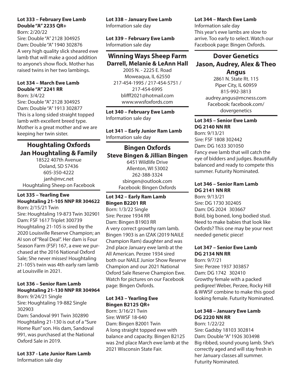## **Lot 333 – February Ewe Lamb Double "A" 2235 QR+**

Born: 2/20/22 Sire: Double "A" 2128 304925 Dam: Double "A" 1940 302876 A very high quality slick sheared ewe lamb that will make a good addition to anyone's show flock. Mother has raised twins in her two lambings.

## **Lot 334 – March Ewe Lamb Double "A" 2241 RR**

Born: 3/4/22 Sire: Double "A" 2128 304925 Dam: Double "A" 1913 302877 This is a long sided straight topped lamb with excellent breed type. Mother is a great mother and we are keeping her twin sister.

# **Houghtaling Oxfords Jan Houghtaling & Family**

18522 407th Avenue Doland, SD 57436 605-350-4222 janh@nvc.net Houghtaling Sheep on Facebook

# **Lot 335 – Yearling Ewe Houghtaling 21-105 NNP RR 304622**

Born: 2/15/21 Twin Sire: Houghtaling 19-873 Twin 302901 Dam: FSF 1617 Triplet 300739 Houghtaling 21-105 is sired by the 2020 Louisville Reserve Champion; an AI son of "Real Deal". Her dam is Four Season Farm (FSF) 167, a ewe we purchased at the 2016 National Oxford Sale; She never misses! Houghtaling 21-105's twin was 4th early ram lamb at Louisville in 2021.

## **Lot 336 – Senior Ram Lamb Houghtaling 21-130 NNP RR 304964**

Born: 9/24/21 Single Sire: Houghtaling 19-882 Single 302903

Dam: Sandoval 991 Twin 302890 Houghtaling 21-130 is out of a "Sure Home Run" son. His dam, Sandoval 991, was purchased at the National Oxford Sale in 2019.

**Lot 337 - Late Junior Ram Lamb** Information sale day

**Lot 338 – January Ewe Lamb** Information sale day

**Lot 339 – February Ewe Lamb** Information sale day

# **Winning Ways Sheep Farm Darrell, Melanie & LeAnn Hall**

2005 N. - 2225 E. Road Moweaqua, IL 62550 217-454-1995 / 217-454-5751 / 217-454-6995 blifff2021@hotmail.com www.wwsfoxfords.com

**Lot 340 – February Ewe Lamb** Information sale day

**Lot 341 – Early Junior Ram Lamb** Information sale day

# **Bingen Oxfords Steve Bingen & Jillian Bingen**

6451 Wildlife Drive Allenton, WI 53002 262-388-3324 sbingen@outlook.com Facebook: Bingen Oxfords

## **Lot 342 – Early Ram Lamb Bingen B2201 RR**

Born: 1/3/22 Single Sire: Perzee 1934 RR Dam: Bingen B1903 RR A very correct growthy ram lamb. Bingen 1903 is an IZAK (2019 NAILE Champion Ram) daughter and was 2nd place January ewe lamb at the All American. Perzee 1934 sired both our NAILE Junior Show Reserve Champion and our 2021 National Oxford Sale Reserve Champion Ewe. Watch for pictures on our Facebook page: Bingen Oxfords.

## **Lot 343 – Yearling Ewe Bingen B2125 QR+**

Born: 3/16/21 Twin Sire: WWSF 18-640 Dam: Bingen B2001 Twin A long straight topped ewe with balance and capacity. Bingen B2125 was 2nd place March ewe lamb at the 2021 Wisconsin State Fair.

## **Lot 344 – March Ewe Lamb**

Information sale day This year's ewe lambs are slow to arrive. Too early to select. Watch our Facebook page: Bingen Oxfords.

# **Dover Genetics Jason, Audrey, Alex & Theo Angus**

2861 N. State Rt. 115 Piper City, IL 60959 815-992-3813 audrey.angus@mcness.com Facebook: facebook.com/ dovergenetics

#### **Lot 345 – Senior Ewe Lamb DG 2140 NN RR**

Born: 9/13/21 Sire: FSF 1808 302442 Dam: DG 1633 301050 Fancy ewe lamb that will catch the eye of bidders and judges. Beautifully balanced and ready to compete this summer. Futurity Nominated.

#### **Lot 346 – Senior Ram Lamb DG 2141 NN RR**

Born: 9/13/21 Sire: DG 1730 302405 Dam: DG 2024 303667 Bold, big boned, long bodied stud. Need to make babies that look like Oxfords? This one may be your next needed genetic piece!

## **Lot 347 – Senior Ewe Lamb DG 2134 NN RR**

Born: 9/7/21 Sire: Perzee 1937 303857 Dam: DG 1742 302410 Growthy female with a packed pedigree! Weber, Perzee, Rocky Hill & WWSF combine to make this good looking female. Futurity Nominated.

# **Lot 348 – January Ewe Lamb DG 2220 NN RR**

Born: 1/22/22 Sire: Gadsby 18103 302814 Dam: Double "A" 1926 303498 Big ribbed, sound young lamb. She's correctly aged and will stay fresh in her January classes all summer. Futurity Nominated.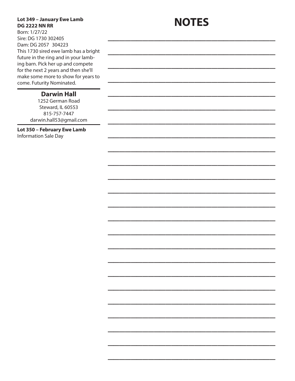# **Lot 349 – January Ewe Lamb DG 2222 NN RR**

**NOTES**

 $\mathcal{L}_\text{max}$  and  $\mathcal{L}_\text{max}$  and  $\mathcal{L}_\text{max}$  and  $\mathcal{L}_\text{max}$ 

 $\overline{\phantom{a}}$  , where  $\overline{\phantom{a}}$  , where  $\overline{\phantom{a}}$  , where  $\overline{\phantom{a}}$  , we have  $\overline{\phantom{a}}$ 

 $\overline{\phantom{a}}$  , where  $\overline{\phantom{a}}$  , where  $\overline{\phantom{a}}$  , where  $\overline{\phantom{a}}$  , we have  $\overline{\phantom{a}}$ 

 $\overline{\phantom{a}}$  , where  $\overline{\phantom{a}}$  , where  $\overline{\phantom{a}}$  , where  $\overline{\phantom{a}}$  , we have  $\overline{\phantom{a}}$ 

 $\mathcal{L}_\text{max}$  and  $\mathcal{L}_\text{max}$  and  $\mathcal{L}_\text{max}$  and  $\mathcal{L}_\text{max}$ 

 $\mathcal{L}_\text{max}$  and  $\mathcal{L}_\text{max}$  and  $\mathcal{L}_\text{max}$  and  $\mathcal{L}_\text{max}$ 

 $\overline{\phantom{a}}$  , where  $\overline{\phantom{a}}$  , where  $\overline{\phantom{a}}$  , where  $\overline{\phantom{a}}$  , we have  $\overline{\phantom{a}}$ 

 $\overline{\phantom{a}}$  , where  $\overline{\phantom{a}}$  , where  $\overline{\phantom{a}}$  , where  $\overline{\phantom{a}}$  , we have  $\overline{\phantom{a}}$ 

 $\overline{\phantom{a}}$  , where  $\overline{\phantom{a}}$  , where  $\overline{\phantom{a}}$  , where  $\overline{\phantom{a}}$  , we have  $\overline{\phantom{a}}$ 

 $\mathcal{L}_\text{max}$  and  $\mathcal{L}_\text{max}$  and  $\mathcal{L}_\text{max}$  and  $\mathcal{L}_\text{max}$ 

 $\mathcal{L}_\text{max}$  and  $\mathcal{L}_\text{max}$  and  $\mathcal{L}_\text{max}$  and  $\mathcal{L}_\text{max}$ 

 $\overline{\phantom{a}}$  , where  $\overline{\phantom{a}}$  , where  $\overline{\phantom{a}}$  , where  $\overline{\phantom{a}}$  , we have  $\overline{\phantom{a}}$ 

 $\overline{\phantom{a}}$  , where  $\overline{\phantom{a}}$  , where  $\overline{\phantom{a}}$  , where  $\overline{\phantom{a}}$  , we have  $\overline{\phantom{a}}$ 

 $\overline{\phantom{a}}$  , where  $\overline{\phantom{a}}$  , where  $\overline{\phantom{a}}$  , where  $\overline{\phantom{a}}$  , we have  $\overline{\phantom{a}}$ 

 $\mathcal{L}_\text{max}$  and  $\mathcal{L}_\text{max}$  and  $\mathcal{L}_\text{max}$  and  $\mathcal{L}_\text{max}$ 

 $\mathcal{L}_\text{max}$  and  $\mathcal{L}_\text{max}$  and  $\mathcal{L}_\text{max}$  and  $\mathcal{L}_\text{max}$ 

 $\overline{\phantom{a}}$  , where  $\overline{\phantom{a}}$  , where  $\overline{\phantom{a}}$  , where  $\overline{\phantom{a}}$  , we have  $\overline{\phantom{a}}$ 

 $\overline{\phantom{a}}$  , where  $\overline{\phantom{a}}$  , where  $\overline{\phantom{a}}$  , where  $\overline{\phantom{a}}$  , we have  $\overline{\phantom{a}}$ 

 $\overline{\phantom{a}}$  , where  $\overline{\phantom{a}}$  , where  $\overline{\phantom{a}}$  , where  $\overline{\phantom{a}}$  , we have  $\overline{\phantom{a}}$ 

 $\mathcal{L}_\text{max}$  and  $\mathcal{L}_\text{max}$  and  $\mathcal{L}_\text{max}$  and  $\mathcal{L}_\text{max}$ 

 $\mathcal{L}_\text{max}$  and  $\mathcal{L}_\text{max}$  and  $\mathcal{L}_\text{max}$  and  $\mathcal{L}_\text{max}$ 

 $\overline{\phantom{a}}$  , where  $\overline{\phantom{a}}$  , where  $\overline{\phantom{a}}$  , where  $\overline{\phantom{a}}$  , we have  $\overline{\phantom{a}}$ 

 $\overline{\phantom{a}}$  , where  $\overline{\phantom{a}}$  , where  $\overline{\phantom{a}}$  , where  $\overline{\phantom{a}}$  , we have  $\overline{\phantom{a}}$ 

 $\overline{\phantom{a}}$  , where  $\overline{\phantom{a}}$  , where  $\overline{\phantom{a}}$  , where  $\overline{\phantom{a}}$  , we have  $\overline{\phantom{a}}$ 

Born: 1/27/22 Sire: DG 1730 302405 Dam: DG 2057 304223 This 1730 sired ewe lamb has a bright future in the ring and in your lambing barn. Pick her up and compete for the next 2 years and then she'll make some more to show for years to come. Futurity Nominated.

# **Darwin Hall**

1252 German Road Steward, IL 60553 815-757-7447 darwin.hall53@gmail.com

**Lot 350 – February Ewe Lamb** Information Sale Day